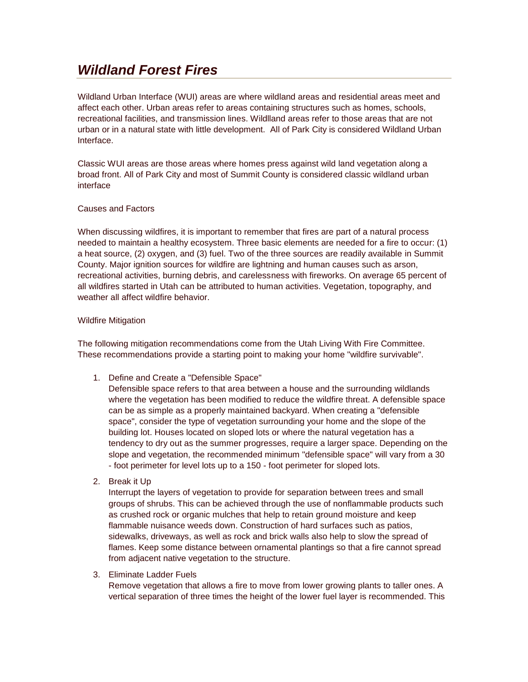# *Wildland Forest Fires*

Wildland Urban Interface (WUI) areas are where wildland areas and residential areas meet and affect each other. Urban areas refer to areas containing structures such as homes, schools, recreational facilities, and transmission lines. Wildlland areas refer to those areas that are not urban or in a natural state with little development. All of Park City is considered Wildland Urban Interface.

Classic WUI areas are those areas where homes press against wild land vegetation along a broad front. All of Park City and most of Summit County is considered classic wildland urban interface

## Causes and Factors

When discussing wildfires, it is important to remember that fires are part of a natural process needed to maintain a healthy ecosystem. Three basic elements are needed for a fire to occur: (1) a heat source, (2) oxygen, and (3) fuel. Two of the three sources are readily available in Summit County. Major ignition sources for wildfire are lightning and human causes such as arson, recreational activities, burning debris, and carelessness with fireworks. On average 65 percent of all wildfires started in Utah can be attributed to human activities. Vegetation, topography, and weather all affect wildfire behavior.

## Wildfire Mitigation

The following mitigation recommendations come from the Utah Living With Fire Committee. These recommendations provide a starting point to making your home "wildfire survivable".

1. Define and Create a "Defensible Space"

Defensible space refers to that area between a house and the surrounding wildlands where the vegetation has been modified to reduce the wildfire threat. A defensible space can be as simple as a properly maintained backyard. When creating a "defensible space", consider the type of vegetation surrounding your home and the slope of the building lot. Houses located on sloped lots or where the natural vegetation has a tendency to dry out as the summer progresses, require a larger space. Depending on the slope and vegetation, the recommended minimum "defensible space" will vary from a 30 - foot perimeter for level lots up to a 150 - foot perimeter for sloped lots.

2. Break it Up

Interrupt the layers of vegetation to provide for separation between trees and small groups of shrubs. This can be achieved through the use of nonflammable products such as crushed rock or organic mulches that help to retain ground moisture and keep flammable nuisance weeds down. Construction of hard surfaces such as patios, sidewalks, driveways, as well as rock and brick walls also help to slow the spread of flames. Keep some distance between ornamental plantings so that a fire cannot spread from adjacent native vegetation to the structure.

3. Eliminate Ladder Fuels

Remove vegetation that allows a fire to move from lower growing plants to taller ones. A vertical separation of three times the height of the lower fuel layer is recommended. This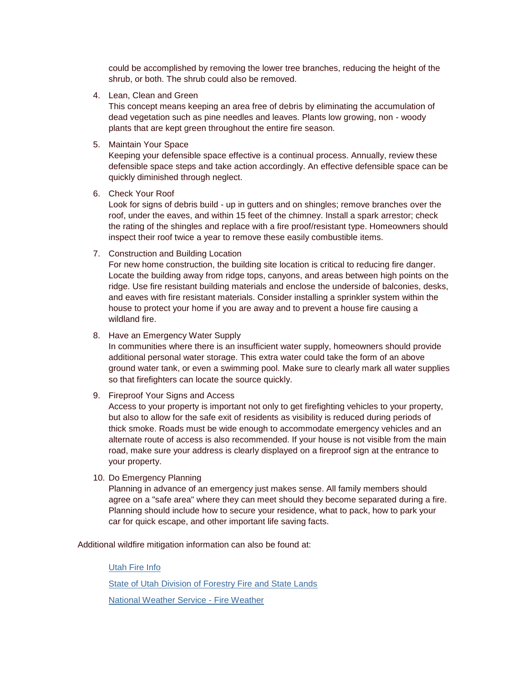could be accomplished by removing the lower tree branches, reducing the height of the shrub, or both. The shrub could also be removed.

4. Lean, Clean and Green

This concept means keeping an area free of debris by eliminating the accumulation of dead vegetation such as pine needles and leaves. Plants low growing, non - woody plants that are kept green throughout the entire fire season.

5. Maintain Your Space

Keeping your defensible space effective is a continual process. Annually, review these defensible space steps and take action accordingly. An effective defensible space can be quickly diminished through neglect.

6. Check Your Roof

Look for signs of debris build - up in gutters and on shingles; remove branches over the roof, under the eaves, and within 15 feet of the chimney. Install a spark arrestor; check the rating of the shingles and replace with a fire proof/resistant type. Homeowners should inspect their roof twice a year to remove these easily combustible items.

7. Construction and Building Location

For new home construction, the building site location is critical to reducing fire danger. Locate the building away from ridge tops, canyons, and areas between high points on the ridge. Use fire resistant building materials and enclose the underside of balconies, desks, and eaves with fire resistant materials. Consider installing a sprinkler system within the house to protect your home if you are away and to prevent a house fire causing a wildland fire.

### 8. Have an Emergency Water Supply

In communities where there is an insufficient water supply, homeowners should provide additional personal water storage. This extra water could take the form of an above ground water tank, or even a swimming pool. Make sure to clearly mark all water supplies so that firefighters can locate the source quickly.

## 9. Fireproof Your Signs and Access

Access to your property is important not only to get firefighting vehicles to your property, but also to allow for the safe exit of residents as visibility is reduced during periods of thick smoke. Roads must be wide enough to accommodate emergency vehicles and an alternate route of access is also recommended. If your house is not visible from the main road, make sure your address is clearly displayed on a fireproof sign at the entrance to your property.

10. Do Emergency Planning

Planning in advance of an emergency just makes sense. All family members should agree on a "safe area" where they can meet should they become separated during a fire. Planning should include how to secure your residence, what to pack, how to park your car for quick escape, and other important life saving facts.

Additional wildfire mitigation information can also be found at:

#### [Utah Fire Info](http://www.utahfireinfo.gov/)

[State of Utah Division of Forestry Fire and State Lands](http://www.ffsl.utah.gov/)

[National Weather Service -](http://www.wrh.noaa.gov/firewx/?interface=fwmatrix&wfo=slc) Fire Weather